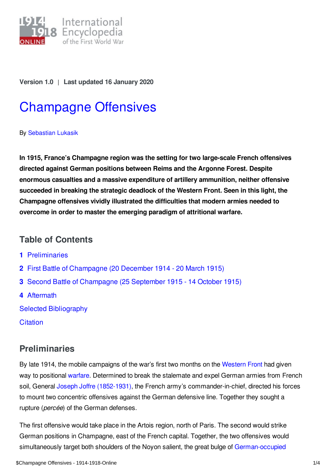

**Version 1.0** | **Last updated 16 January 2020**

# [Champagne](https://encyclopedia.1914-1918-online.net/article/champagne_offensives) Offensives

By [Sebastian](https://encyclopedia.1914-1918-online.net/contributors/Sebastian_Lukasik) Lukasik

**In 1915, France's Champagne region was the setting for two large-scale French offensives directed against German positions between Reims and the Argonne Forest. Despite enormous casualties and a massive expenditure of artillery ammunition, neither offensive succeeded in breaking the strategic deadlock of the Western Front. Seen in this light, the Champagne offensives vividly illustrated the difficulties that modern armies needed to overcome in order to master the emerging paradigm of attritional warfare.**

## **Table of Contents**

- **1** [Preliminaries](#page-0-0)
- **2** First Battle of [Champagne](#page-1-0) (20 December 1914 20 March 1915)
- **3** Second Battle of [Champagne](#page-1-1) (25 September 1915 14 October 1915)
- **4** [Aftermath](#page-2-0)

Selected [Bibliography](#page-2-1)

**[Citation](#page-3-0)** 

# <span id="page-0-0"></span>**Preliminaries**

By late 1914, the mobile campaigns of the war's first two months on the [Western](/article/western_front) Front had given way to positional [warfare](/article/warfare_1914-1918). Determined to break the stalemate and expel German armies from French soil, General Joseph Joffre [\(1852-1931\)](/index/names/118776231), the French army's commander-in-chief, directed his forces to mount two concentric offensives against the German defensive line. Together they sought a rupture (*percée*) of the German defenses.

The first offensive would take place in the Artois region, north of Paris. The second would strike German positions in Champagne, east of the French capital. Together, the two offensives would simultaneously target both shoulders of the Noyon salient, the great bulge of [German-occupied](/article/occupation_during_the_war_belgium_and_france)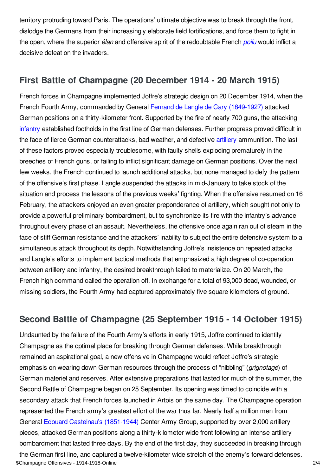territory protruding toward Paris. The operations' ultimate objective was to break through the front, dislodge the Germans from their increasingly elaborate field fortifications, and force them to fight in the open, where the superior *élan* and offensive spirit of the redoubtable French *[poilu](/article/le_poilu)* would inflict a decisive defeat on the invaders.

## <span id="page-1-0"></span>**First Battle of Champagne (20 December 1914 - 20 March 1915)**

French forces in Champagne implemented Joffre's strategic design on 20 December 1914, when the French Fourth Army, commanded by General Fernand de Langle de Cary [\(1849-1927\)](/index/names/1053362188) attacked German positions on a thirty-kilometer front. Supported by the fire of nearly 700 guns, the attacking [infantry](/article/infantry) established footholds in the first line of German defenses. Further progress proved difficult in the face of fierce German counterattacks, bad weather, and defective [artillery](/article/artillery) ammunition. The last of these factors proved especially troublesome, with faulty shells exploding prematurely in the breeches of French guns, or failing to inflict significant damage on German positions. Over the next few weeks, the French continued to launch additional attacks, but none managed to defy the pattern of the offensive's first phase. Langle suspended the attacks in mid-January to take stock of the situation and process the lessons of the previous weeks' fighting. When the offensive resumed on 16 February, the attackers enjoyed an even greater preponderance of artillery, which sought not only to provide a powerful preliminary bombardment, but to synchronize its fire with the infantry's advance throughout every phase of an assault. Nevertheless, the offensive once again ran out of steam in the face of stiff German resistance and the attackers' inability to subject the entire defensive system to a simultaneous attack throughout its depth. Notwithstanding Joffre's insistence on repeated attacks and Langle's efforts to implement tactical methods that emphasized a high degree of co-operation between artillery and infantry, the desired breakthrough failed to materialize. On 20 March, the French high command called the operation off. In exchange for a total of 93,000 dead, wounded, or missing soldiers, the Fourth Army had captured approximately five square kilometers of ground.

# <span id="page-1-1"></span>**Second Battle of Champagne (25 September 1915 - 14 October 1915)**

Undaunted by the failure of the Fourth Army's efforts in early 1915, Joffre continued to identify Champagne as the optimal place for breaking through German defenses. While breakthrough remained an aspirational goal, a new offensive in Champagne would reflect Joffre's strategic emphasis on wearing down German resources through the process of "nibbling" (*grignotage*) of German materiel and reserves. After extensive preparations that lasted for much of the summer, the Second Battle of Champagne began on 25 September. Its opening was timed to coincide with a secondary attack that French forces launched in Artois on the same day. The Champagne operation represented the French army's greatest effort of the war thus far. Nearly half a million men from General Edouard Castelnau's [\(1851-1944\)](/index/names/118962051) Center Army Group, supported by over 2,000 artillery pieces, attacked German positions along a thirty-kilometer wide front following an intense artillery bombardment that lasted three days. By the end of the first day, they succeeded in breaking through the German first line, and captured a twelve-kilometer wide stretch of the enemy's forward defenses. \$Champagne Offensives - 1914-1918-Online 2/4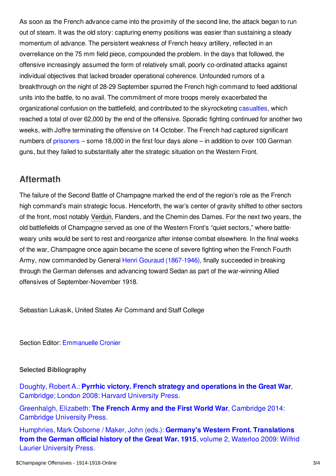As soon as the French advance came into the proximity of the second line, the attack began to run out of steam. It was the old story: capturing enemy positions was easier than sustaining a steady momentum of advance. The persistent weakness of French heavy artillery, reflected in an overreliance on the 75 mm field piece, compounded the problem. In the days that followed, the offensive increasingly assumed the form of relatively small, poorly co-ordinated attacks against individual objectives that lacked broader operational coherence. Unfounded rumors of a breakthrough on the night of 28-29 September spurred the French high command to feed additional units into the battle, to no avail. The commitment of more troops merely exacerbated the organizational confusion on the battlefield, and contributed to the skyrocketing [casualties](/article/war_losses_france), which reached a total of over 62,000 by the end of the offensive. Sporadic fighting continued for another two weeks, with Joffre terminating the offensive on 14 October. The French had captured significant numbers of [prisoners](/article/prisoners_of_war_belgium_and_france) – some 18,000 in the first four days alone – in addition to over 100 German guns, but they failed to substantially alter the strategic situation on the Western Front.

## <span id="page-2-0"></span>**Aftermath**

The failure of the Second Battle of Champagne marked the end of the region's role as the French high command's main strategic focus. Henceforth, the war's center of gravity shifted to other sectors of the front, most notably [Verdun](/article/verdun_battles_of), Flanders, and the Chemin des Dames. For the next two years, the old battlefields of Champagne served as one of the Western Front's "quiet sectors," where battleweary units would be sent to rest and reorganize after intense combat elsewhere. In the final weeks of the war, Champagne once again became the scene of severe fighting when the French Fourth Army, now commanded by General Henri Gouraud [\(1867-1946\),](/index/names/119250551) finally succeeded in breaking through the German defenses and advancing toward Sedan as part of the war-winning Allied offensives of September-November 1918.

Sebastian Lukasik, United States Air Command and Staff College

Section Editor: [Emmanuelle](https://encyclopedia.1914-1918-online.net/contributors/Emmanuelle_Cronier) Cronier

### <span id="page-2-1"></span>**Selected Bibliography**

Doughty, Robert A.: **Pyrrhic victory. French strategy and operations in the Great War**, [Cambridge;](https://encyclopedia.1914-1918-online.net/bibliography/VXCKDVV3) London 2008: Harvard University Press.

[Greenhalgh,](https://encyclopedia.1914-1918-online.net/bibliography/S7A9M5ND) Elizabeth: **The French Army and the First World War**, Cambridge 2014: Cambridge University Press.

Humphries, Mark Osborne / Maker, John (eds.): **Germany's Western Front. [Translations](https://encyclopedia.1914-1918-online.net/bibliography/XNPU8EH8) from the German official history of the Great War. 1915**, volume 2, Waterloo 2009: Wilfrid Laurier University Press.